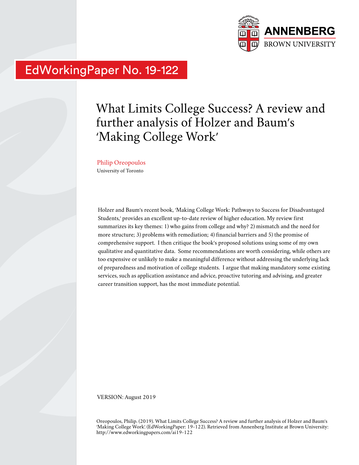

# EdWorkingPaper No. 19-122

# What Limits College Success? A review and further analysis of Holzer and Baum's 'Making College Work'

# Philip Oreopoulos

University of Toronto

Holzer and Baum's recent book, 'Making College Work: Pathways to Success for Disadvantaged Students,' provides an excellent up-to-date review of higher education. My review first summarizes its key themes: 1) who gains from college and why? 2) mismatch and the need for more structure; 3) problems with remediation; 4) financial barriers and 5) the promise of comprehensive support. I then critique the book's proposed solutions using some of my own qualitative and quantitative data. Some recommendations are worth considering, while others are too expensive or unlikely to make a meaningful difference without addressing the underlying lack of preparedness and motivation of college students. I argue that making mandatory some existing services, such as application assistance and advice, proactive tutoring and advising, and greater career transition support, has the most immediate potential.

VERSION: August 2019

Oreopoulos, Philip. (2019). What Limits College Success? A review and further analysis of Holzer and Baum's 'Making College Work'. (EdWorkingPaper: 19-122). Retrieved from Annenberg Institute at Brown University: http://www.edworkingpapers.com/ai19-122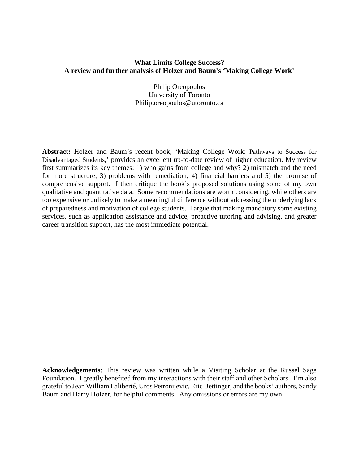# **What Limits College Success? A review and further analysis of Holzer and Baum's 'Making College Work'**

Philip Oreopoulos University of Toronto Philip.oreopoulos@utoronto.ca

**Abstract:** Holzer and Baum's recent book, 'Making College Work: Pathways to Success for Disadvantaged Students,' provides an excellent up-to-date review of higher education. My review first summarizes its key themes: 1) who gains from college and why? 2) mismatch and the need for more structure; 3) problems with remediation; 4) financial barriers and 5) the promise of comprehensive support. I then critique the book's proposed solutions using some of my own qualitative and quantitative data. Some recommendations are worth considering, while others are too expensive or unlikely to make a meaningful difference without addressing the underlying lack of preparedness and motivation of college students. I argue that making mandatory some existing services, such as application assistance and advice, proactive tutoring and advising, and greater career transition support, has the most immediate potential.

**Acknowledgements**: This review was written while a Visiting Scholar at the Russel Sage Foundation. I greatly benefited from my interactions with their staff and other Scholars. I'm also grateful to Jean William Laliberté, Uros Petronijevic, Eric Bettinger, and the books' authors, Sandy Baum and Harry Holzer, for helpful comments. Any omissions or errors are my own.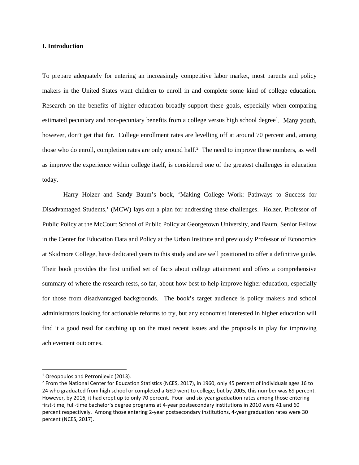#### **I. Introduction**

To prepare adequately for entering an increasingly competitive labor market, most parents and policy makers in the United States want children to enroll in and complete some kind of college education. Research on the benefits of higher education broadly support these goals, especially when comparing estimated pecuniary and non-pecuniary benefits from a college versus high school degree<sup>[1](#page-2-0)</sup>. Many youth, however, don't get that far. College enrollment rates are levelling off at around 70 percent and, among those who do enroll, completion rates are only around half. [2](#page-2-1) The need to improve these numbers, as well as improve the experience within college itself, is considered one of the greatest challenges in education today.

Harry Holzer and Sandy Baum's book, 'Making College Work: Pathways to Success for Disadvantaged Students,' (MCW) lays out a plan for addressing these challenges. Holzer, Professor of Public Policy at the McCourt School of Public Policy at Georgetown University, and Baum, Senior Fellow in the Center for Education Data and Policy at the Urban Institute and previously Professor of Economics at Skidmore College, have dedicated years to this study and are well positioned to offer a definitive guide. Their book provides the first unified set of facts about college attainment and offers a comprehensive summary of where the research rests, so far, about how best to help improve higher education, especially for those from disadvantaged backgrounds. The book's target audience is policy makers and school administrators looking for actionable reforms to try, but any economist interested in higher education will find it a good read for catching up on the most recent issues and the proposals in play for improving achievement outcomes.

<span id="page-2-0"></span> $1$  Oreopoulos and Petronijevic (2013).

<span id="page-2-1"></span><sup>2</sup> From the National Center for Education Statistics (NCES, 2017), in 1960, only 45 percent of individuals ages 16 to 24 who graduated from high school or completed a GED went to college, but by 2005, this number was 69 percent. However, by 2016, it had crept up to only 70 percent. Four- and six-year graduation rates among those entering first-time, full-time bachelor's degree programs at 4-year postsecondary institutions in 2010 were 41 and 60 percent respectively. Among those entering 2-year postsecondary institutions, 4-year graduation rates were 30 percent (NCES, 2017).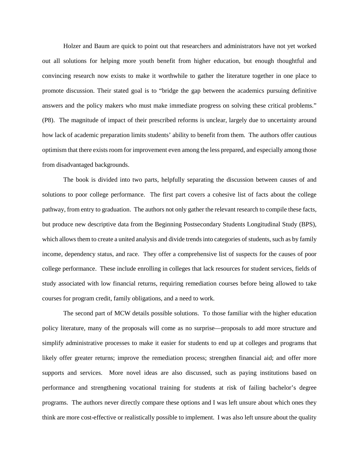Holzer and Baum are quick to point out that researchers and administrators have not yet worked out all solutions for helping more youth benefit from higher education, but enough thoughtful and convincing research now exists to make it worthwhile to gather the literature together in one place to promote discussion. Their stated goal is to "bridge the gap between the academics pursuing definitive answers and the policy makers who must make immediate progress on solving these critical problems." (P8). The magnitude of impact of their prescribed reforms is unclear, largely due to uncertainty around how lack of academic preparation limits students' ability to benefit from them. The authors offer cautious optimism that there exists room for improvement even among the less prepared, and especially among those from disadvantaged backgrounds.

The book is divided into two parts, helpfully separating the discussion between causes of and solutions to poor college performance. The first part covers a cohesive list of facts about the college pathway, from entry to graduation. The authors not only gather the relevant research to compile these facts, but produce new descriptive data from the Beginning Postsecondary Students Longitudinal Study (BPS), which allows them to create a united analysis and divide trends into categories of students, such as by family income, dependency status, and race. They offer a comprehensive list of suspects for the causes of poor college performance. These include enrolling in colleges that lack resources for student services, fields of study associated with low financial returns, requiring remediation courses before being allowed to take courses for program credit, family obligations, and a need to work.

The second part of MCW details possible solutions. To those familiar with the higher education policy literature, many of the proposals will come as no surprise—proposals to add more structure and simplify administrative processes to make it easier for students to end up at colleges and programs that likely offer greater returns; improve the remediation process; strengthen financial aid; and offer more supports and services. More novel ideas are also discussed, such as paying institutions based on performance and strengthening vocational training for students at risk of failing bachelor's degree programs. The authors never directly compare these options and I was left unsure about which ones they think are more cost-effective or realistically possible to implement. I was also left unsure about the quality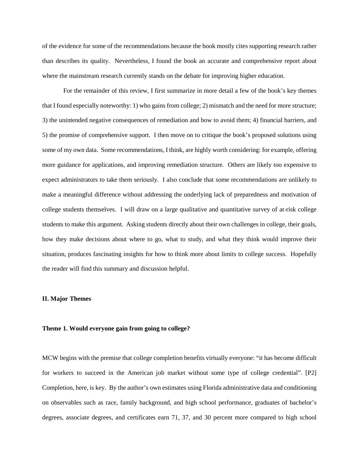of the evidence for some of the recommendations because the book mostly cites supporting research rather than describes its quality. Nevertheless, I found the book an accurate and comprehensive report about where the mainstream research currently stands on the debate for improving higher education.

For the remainder of this review, I first summarize in more detail a few of the book's key themes that I found especially noteworthy: 1) who gains from college; 2) mismatch and the need for more structure; 3) the unintended negative consequences of remediation and how to avoid them; 4) financial barriers, and 5) the promise of comprehensive support. I then move on to critique the book's proposed solutions using some of my own data. Some recommendations, I think, are highly worth considering: for example, offering more guidance for applications, and improving remediation structure. Others are likely too expensive to expect administrators to take them seriously. I also conclude that some recommendations are unlikely to make a meaningful difference without addressing the underlying lack of preparedness and motivation of college students themselves. I will draw on a large qualitative and quantitative survey of at-risk college students to make this argument. Asking students directly about their own challenges in college, their goals, how they make decisions about where to go, what to study, and what they think would improve their situation, produces fascinating insights for how to think more about limits to college success. Hopefully the reader will find this summary and discussion helpful.

#### **II. Major Themes**

#### **Theme 1. Would everyone gain from going to college?**

MCW begins with the premise that college completion benefits virtually everyone: "it has become difficult for workers to succeed in the American job market without some type of college credential". [P2] Completion, here, is key. By the author's own estimates using Florida administrative data and conditioning on observables such as race, family background, and high school performance, graduates of bachelor's degrees, associate degrees, and certificates earn 71, 37, and 30 percent more compared to high school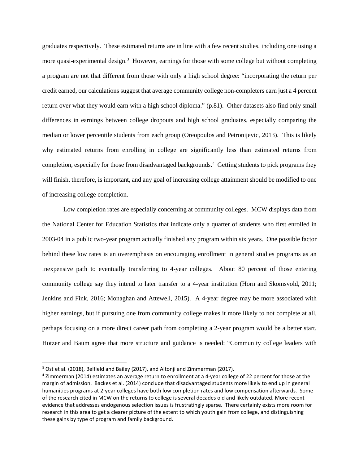graduates respectively. These estimated returns are in line with a few recent studies, including one using a more quasi-experimental design.<sup>[3](#page-5-0)</sup> However, earnings for those with some college but without completing a program are not that different from those with only a high school degree: "incorporating the return per credit earned, our calculations suggest that average community college non-completers earn just a 4 percent return over what they would earn with a high school diploma." (p.81). Other datasets also find only small differences in earnings between college dropouts and high school graduates, especially comparing the median or lower percentile students from each group (Oreopoulos and Petronijevic, 2013). This is likely why estimated returns from enrolling in college are significantly less than estimated returns from completion, especially for those from disadvantaged backgrounds. [4](#page-5-1) Getting students to pick programs they will finish, therefore, is important, and any goal of increasing college attainment should be modified to one of increasing college completion.

Low completion rates are especially concerning at community colleges. MCW displays data from the National Center for Education Statistics that indicate only a quarter of students who first enrolled in 2003-04 in a public two-year program actually finished any program within six years. One possible factor behind these low rates is an overemphasis on encouraging enrollment in general studies programs as an inexpensive path to eventually transferring to 4-year colleges. About 80 percent of those entering community college say they intend to later transfer to a 4-year institution (Horn and Skomsvold, 2011; Jenkins and Fink, 2016; Monaghan and Attewell, 2015). A 4-year degree may be more associated with higher earnings, but if pursuing one from community college makes it more likely to not complete at all, perhaps focusing on a more direct career path from completing a 2-year program would be a better start. Hotzer and Baum agree that more structure and guidance is needed: "Community college leaders with

<span id="page-5-0"></span><sup>&</sup>lt;sup>3</sup> Ost et al. (2018), Belfield and Bailey (2017), and Altonji and Zimmerman (2017).

<span id="page-5-1"></span><sup>4</sup> Zimmerman (2014) estimates an average return to enrollment at a 4-year college of 22 percent for those at the margin of admission. Backes et al. (2014) conclude that disadvantaged students more likely to end up in general humanities programs at 2-year colleges have both low completion rates and low compensation afterwards. Some of the research cited in MCW on the returns to college is several decades old and likely outdated. More recent evidence that addresses endogenous selection issues is frustratingly sparse. There certainly exists more room for research in this area to get a clearer picture of the extent to which youth gain from college, and distinguishing these gains by type of program and family background.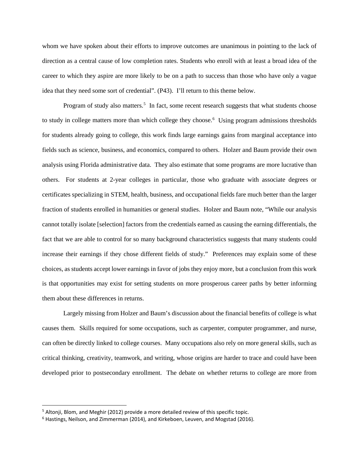whom we have spoken about their efforts to improve outcomes are unanimous in pointing to the lack of direction as a central cause of low completion rates. Students who enroll with at least a broad idea of the career to which they aspire are more likely to be on a path to success than those who have only a vague idea that they need some sort of credential". (P43). I'll return to this theme below.

Program of study also matters.<sup>[5](#page-6-0)</sup> In fact, some recent research suggests that what students choose to study in college matters more than which college they choose. [6](#page-6-1) Using program admissions thresholds for students already going to college, this work finds large earnings gains from marginal acceptance into fields such as science, business, and economics, compared to others. Holzer and Baum provide their own analysis using Florida administrative data. They also estimate that some programs are more lucrative than others. For students at 2-year colleges in particular, those who graduate with associate degrees or certificates specializing in STEM, health, business, and occupational fields fare much better than the larger fraction of students enrolled in humanities or general studies. Holzer and Baum note, "While our analysis cannot totally isolate [selection] factors from the credentials earned as causing the earning differentials, the fact that we are able to control for so many background characteristics suggests that many students could increase their earnings if they chose different fields of study." Preferences may explain some of these choices, as students accept lower earnings in favor of jobs they enjoy more, but a conclusion from this work is that opportunities may exist for setting students on more prosperous career paths by better informing them about these differences in returns.

Largely missing from Holzer and Baum's discussion about the financial benefits of college is what causes them. Skills required for some occupations, such as carpenter, computer programmer, and nurse, can often be directly linked to college courses. Many occupations also rely on more general skills, such as critical thinking, creativity, teamwork, and writing, whose origins are harder to trace and could have been developed prior to postsecondary enrollment. The debate on whether returns to college are more from

<span id="page-6-0"></span><sup>&</sup>lt;sup>5</sup> Altonji, Blom, and Meghir (2012) provide a more detailed review of this specific topic.<br><sup>6</sup> Hastings, Neilson, and Zimmerman (2014), and Kirkeboen, Leuven, and Mogstad (2016).

<span id="page-6-1"></span>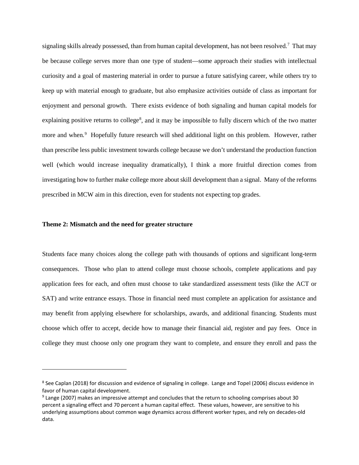signaling skills already possessed, than from human capital development, has not been resolved.<sup>7</sup> That may be because college serves more than one type of student—some approach their studies with intellectual curiosity and a goal of mastering material in order to pursue a future satisfying career, while others try to keep up with material enough to graduate, but also emphasize activities outside of class as important for enjoyment and personal growth. There exists evidence of both signaling and human capital models for explaining positive returns to college<sup>[8](#page-7-1)</sup>, and it may be impossible to fully discern which of the two matter more and when.<sup>[9](#page-7-2)</sup> Hopefully future research will shed additional light on this problem. However, rather than prescribe less public investment towards college because we don't understand the production function well (which would increase inequality dramatically), I think a more fruitful direction comes from investigating how to further make college more about skill development than a signal. Many of the reforms prescribed in MCW aim in this direction, even for students not expecting top grades.

#### **Theme 2: Mismatch and the need for greater structure**

l

Students face many choices along the college path with thousands of options and significant long-term consequences. Those who plan to attend college must choose schools, complete applications and pay application fees for each, and often must choose to take standardized assessment tests (like the ACT or SAT) and write entrance essays. Those in financial need must complete an application for assistance and may benefit from applying elsewhere for scholarships, awards, and additional financing. Students must choose which offer to accept, decide how to manage their financial aid, register and pay fees. Once in college they must choose only one program they want to complete, and ensure they enroll and pass the

<span id="page-7-1"></span><span id="page-7-0"></span><sup>8</sup> See Caplan (2018) for discussion and evidence of signaling in college. Lange and Topel (2006) discuss evidence in favor of human capital development.

<span id="page-7-2"></span><sup>9</sup> Lange (2007) makes an impressive attempt and concludes that the return to schooling comprises about 30 percent a signaling effect and 70 percent a human capital effect. These values, however, are sensitive to his underlying assumptions about common wage dynamics across different worker types, and rely on decades-old data.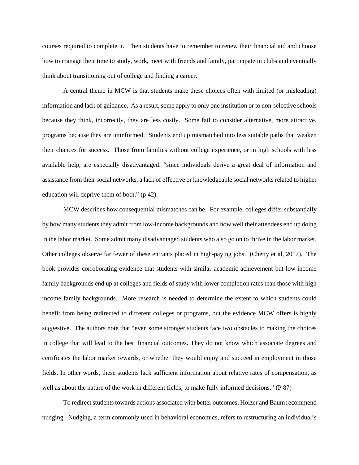courses required to complete it. Then students have to remember to renew their financial aid and choose how to manage their time to study, work, meet with friends and family, participate in clubs and eventually think about transitioning out of college and finding a career.

A central theme in MCW is that students make these choices often with limited (or misleading) information and lack of guidance. As a result, some apply to only one institution or to non-selective schools because they think, incorrectly, they are less costly. Some fail to consider alternative, more attractive, programs because they are uninformed. Students end up mismatched into less suitable paths that weaken their chances for success. Those from families without college experience, or in high schools with less available help, are especially disadvantaged: "since individuals derive a great deal of information and assistance from their social networks, a lack of effective or knowledgeable social networks related to higher education will deprive them of both." (p 42).

MCW describes how consequential mismatches can be. For example, colleges differ substantially by how many students they admit from low-income backgrounds and how well their attendees end up doing in the labor market. Some admit many disadvantaged students who also go on to thrive in the labor market. Other colleges observe far fewer of these entrants placed in high-paying jobs. (Chetty et al, 2017). The book provides corroborating evidence that students with similar academic achievement but low-income family backgrounds end up at colleges and fields of study with lower completion rates than those with high income family backgrounds. More research is needed to determine the extent to which students could benefit from being redirected to different colleges or programs, but the evidence MCW offers is highly suggestive. The authors note that "even some stronger students face two obstacles to making the choices in college that will lead to the best financial outcomes. They do not know which associate degrees and certificates the labor market rewards, or whether they would enjoy and succeed in employment in those fields. In other words, these students lack sufficient information about relative rates of compensation, as well as about the nature of the work in different fields, to make fully informed decisions." (P 87)

To redirect students towards actions associated with better outcomes, Holzer and Baum recommend nudging. Nudging, a term commonly used in behavioral economics, refers to restructuring an individual's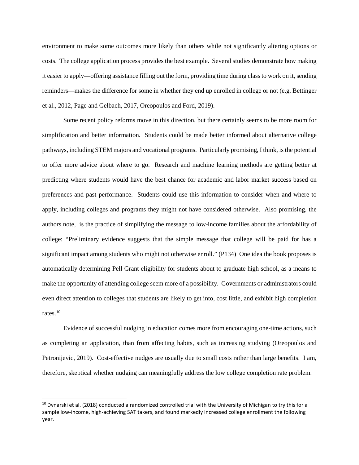environment to make some outcomes more likely than others while not significantly altering options or costs. The college application process provides the best example. Several studies demonstrate how making it easier to apply—offering assistance filling out the form, providing time during class to work on it, sending reminders—makes the difference for some in whether they end up enrolled in college or not (e.g. Bettinger et al., 2012, Page and Gelbach, 2017, Oreopoulos and Ford, 2019).

Some recent policy reforms move in this direction, but there certainly seems to be more room for simplification and better information. Students could be made better informed about alternative college pathways, including STEM majors and vocational programs. Particularly promising, I think, is the potential to offer more advice about where to go. Research and machine learning methods are getting better at predicting where students would have the best chance for academic and labor market success based on preferences and past performance. Students could use this information to consider when and where to apply, including colleges and programs they might not have considered otherwise. Also promising, the authors note, is the practice of simplifying the message to low-income families about the affordability of college: "Preliminary evidence suggests that the simple message that college will be paid for has a significant impact among students who might not otherwise enroll." (P134) One idea the book proposes is automatically determining Pell Grant eligibility for students about to graduate high school, as a means to make the opportunity of attending college seem more of a possibility. Governments or administrators could even direct attention to colleges that students are likely to get into, cost little, and exhibit high completion rates.[10](#page-9-0) 

Evidence of successful nudging in education comes more from encouraging one-time actions, such as completing an application, than from affecting habits, such as increasing studying (Oreopoulos and Petronijevic, 2019). Cost-effective nudges are usually due to small costs rather than large benefits. I am, therefore, skeptical whether nudging can meaningfully address the low college completion rate problem.

<span id="page-9-0"></span> $10$  Dynarski et al. (2018) conducted a randomized controlled trial with the University of Michigan to try this for a sample low-income, high-achieving SAT takers, and found markedly increased college enrollment the following year.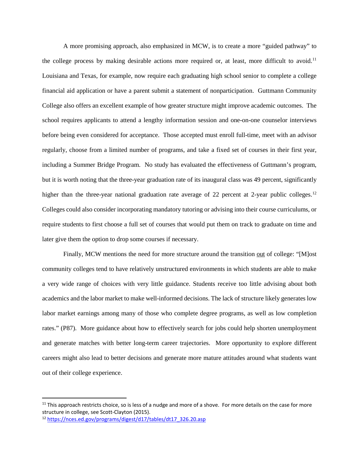A more promising approach, also emphasized in MCW, is to create a more "guided pathway" to the college process by making desirable actions more required or, at least, more difficult to avoid.<sup>[11](#page-10-0)</sup> Louisiana and Texas, for example, now require each graduating high school senior to complete a college financial aid application or have a parent submit a statement of nonparticipation. Guttmann Community College also offers an excellent example of how greater structure might improve academic outcomes. The school requires applicants to attend a lengthy information session and one-on-one counselor interviews before being even considered for acceptance. Those accepted must enroll full-time, meet with an advisor regularly, choose from a limited number of programs, and take a fixed set of courses in their first year, including a Summer Bridge Program. No study has evaluated the effectiveness of Guttmann's program, but it is worth noting that the three-year graduation rate of its inaugural class was 49 percent, significantly higher than the three-year national graduation rate average of 22 percent at 2-year public colleges.<sup>[12](#page-10-1)</sup> Colleges could also consider incorporating mandatory tutoring or advising into their course curriculums, or require students to first choose a full set of courses that would put them on track to graduate on time and later give them the option to drop some courses if necessary.

Finally, MCW mentions the need for more structure around the transition out of college: "[M]ost community colleges tend to have relatively unstructured environments in which students are able to make a very wide range of choices with very little guidance. Students receive too little advising about both academics and the labor market to make well-informed decisions. The lack of structure likely generates low labor market earnings among many of those who complete degree programs, as well as low completion rates." (P87). More guidance about how to effectively search for jobs could help shorten unemployment and generate matches with better long-term career trajectories. More opportunity to explore different careers might also lead to better decisions and generate more mature attitudes around what students want out of their college experience.

<span id="page-10-0"></span> $11$  This approach restricts choice, so is less of a nudge and more of a shove. For more details on the case for more structure in college, see Scott-Clayton (2015).

<span id="page-10-1"></span><sup>12</sup> [https://nces.ed.gov/programs/digest/d17/tables/dt17\\_326.20.asp](https://nces.ed.gov/programs/digest/d17/tables/dt17_326.20.asp)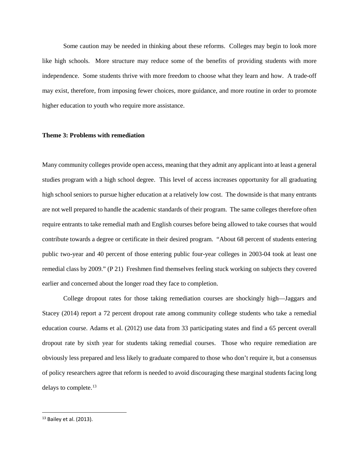Some caution may be needed in thinking about these reforms. Colleges may begin to look more like high schools. More structure may reduce some of the benefits of providing students with more independence. Some students thrive with more freedom to choose what they learn and how. A trade-off may exist, therefore, from imposing fewer choices, more guidance, and more routine in order to promote higher education to youth who require more assistance.

# **Theme 3: Problems with remediation**

Many community colleges provide open access, meaning that they admit any applicant into at least a general studies program with a high school degree. This level of access increases opportunity for all graduating high school seniors to pursue higher education at a relatively low cost. The downside is that many entrants are not well prepared to handle the academic standards of their program. The same colleges therefore often require entrants to take remedial math and English courses before being allowed to take courses that would contribute towards a degree or certificate in their desired program. "About 68 percent of students entering public two-year and 40 percent of those entering public four-year colleges in 2003-04 took at least one remedial class by 2009." (P 21) Freshmen find themselves feeling stuck working on subjects they covered earlier and concerned about the longer road they face to completion.

College dropout rates for those taking remediation courses are shockingly high—Jaggars and Stacey (2014) report a 72 percent dropout rate among community college students who take a remedial education course. Adams et al. (2012) use data from 33 participating states and find a 65 percent overall dropout rate by sixth year for students taking remedial courses. Those who require remediation are obviously less prepared and less likely to graduate compared to those who don't require it, but a consensus of policy researchers agree that reform is needed to avoid discouraging these marginal students facing long delays to complete. [13](#page-11-0)

<span id="page-11-0"></span> $13$  Bailey et al. (2013).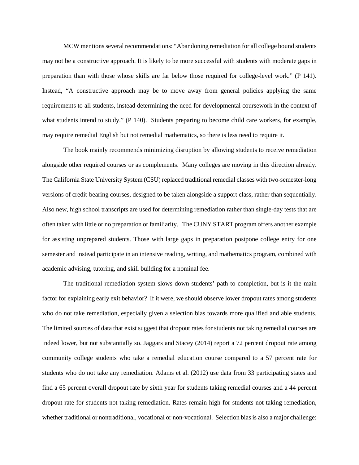MCW mentionsseveral recommendations: "Abandoning remediation for all college bound students may not be a constructive approach. It is likely to be more successful with students with moderate gaps in preparation than with those whose skills are far below those required for college-level work." (P 141). Instead, "A constructive approach may be to move away from general policies applying the same requirements to all students, instead determining the need for developmental coursework in the context of what students intend to study." (P 140). Students preparing to become child care workers, for example, may require remedial English but not remedial mathematics, so there is less need to require it.

The book mainly recommends minimizing disruption by allowing students to receive remediation alongside other required courses or as complements. Many colleges are moving in this direction already. The California State University System (CSU) replaced traditional remedial classes with two-semester-long versions of credit-bearing courses, designed to be taken alongside a support class, rather than sequentially. Also new, high school transcripts are used for determining remediation rather than single-day tests that are often taken with little or no preparation or familiarity. The CUNY START program offers another example for assisting unprepared students. Those with large gaps in preparation postpone college entry for one semester and instead participate in an intensive reading, writing, and mathematics program, combined with academic advising, tutoring, and skill building for a nominal fee.

The traditional remediation system slows down students' path to completion, but is it the main factor for explaining early exit behavior? If it were, we should observe lower dropout rates among students who do not take remediation, especially given a selection bias towards more qualified and able students. The limited sources of data that exist suggest that dropout rates for students not taking remedial courses are indeed lower, but not substantially so. Jaggars and Stacey (2014) report a 72 percent dropout rate among community college students who take a remedial education course compared to a 57 percent rate for students who do not take any remediation. Adams et al. (2012) use data from 33 participating states and find a 65 percent overall dropout rate by sixth year for students taking remedial courses and a 44 percent dropout rate for students not taking remediation. Rates remain high for students not taking remediation, whether traditional or nontraditional, vocational or non-vocational. Selection bias is also a major challenge: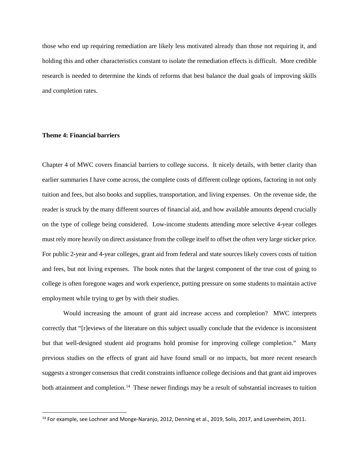those who end up requiring remediation are likely less motivated already than those not requiring it, and holding this and other characteristics constant to isolate the remediation effects is difficult. More credible research is needed to determine the kinds of reforms that best balance the dual goals of improving skills and completion rates.

# **Theme 4: Financial barriers**

Chapter 4 of MWC covers financial barriers to college success. It nicely details, with better clarity than earlier summaries I have come across, the complete costs of different college options, factoring in not only tuition and fees, but also books and supplies, transportation, and living expenses. On the revenue side, the reader is struck by the many different sources of financial aid, and how available amounts depend crucially on the type of college being considered. Low-income students attending more selective 4-year colleges must rely more heavily on direct assistance from the college itself to offset the often very large sticker price. For public 2-year and 4-year colleges, grant aid from federal and state sources likely covers costs of tuition and fees, but not living expenses. The book notes that the largest component of the true cost of going to college is often foregone wages and work experience, putting pressure on some students to maintain active employment while trying to get by with their studies.

Would increasing the amount of grant aid increase access and completion? MWC interprets correctly that "[r]eviews of the literature on this subject usually conclude that the evidence is inconsistent but that well-designed student aid programs hold promise for improving college completion." Many previous studies on the effects of grant aid have found small or no impacts, but more recent research suggests a stronger consensus that credit constraints influence college decisions and that grant aid improves both attainment and completion.<sup>[14](#page-13-0)</sup> These newer findings may be a result of substantial increases to tuition

<span id="page-13-0"></span><sup>&</sup>lt;sup>14</sup> For example, see Lochner and Monge-Naranjo, 2012, Denning et al., 2019, Solis, 2017, and Lovenheim, 2011.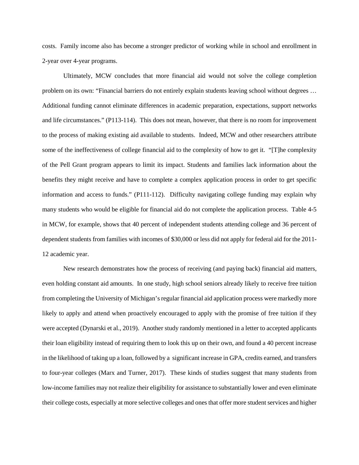costs. Family income also has become a stronger predictor of working while in school and enrollment in 2-year over 4-year programs.

Ultimately, MCW concludes that more financial aid would not solve the college completion problem on its own: "Financial barriers do not entirely explain students leaving school without degrees … Additional funding cannot eliminate differences in academic preparation, expectations, support networks and life circumstances." (P113-114). This does not mean, however, that there is no room for improvement to the process of making existing aid available to students. Indeed, MCW and other researchers attribute some of the ineffectiveness of college financial aid to the complexity of how to get it. "[T]he complexity of the Pell Grant program appears to limit its impact. Students and families lack information about the benefits they might receive and have to complete a complex application process in order to get specific information and access to funds." (P111-112). Difficulty navigating college funding may explain why many students who would be eligible for financial aid do not complete the application process. Table 4-5 in MCW, for example, shows that 40 percent of independent students attending college and 36 percent of dependent students from families with incomes of \$30,000 or less did not apply for federal aid for the 2011- 12 academic year.

New research demonstrates how the process of receiving (and paying back) financial aid matters, even holding constant aid amounts. In one study, high school seniors already likely to receive free tuition from completing the University of Michigan's regular financial aid application process were markedly more likely to apply and attend when proactively encouraged to apply with the promise of free tuition if they were accepted (Dynarski et al., 2019). Another study randomly mentioned in a letter to accepted applicants their loan eligibility instead of requiring them to look this up on their own, and found a 40 percent increase in the likelihood of taking up a loan, followed by a significant increase in GPA, credits earned, and transfers to four-year colleges (Marx and Turner, 2017). These kinds of studies suggest that many students from low-income families may not realize their eligibility for assistance to substantially lower and even eliminate their college costs, especially at more selective colleges and ones that offer more student services and higher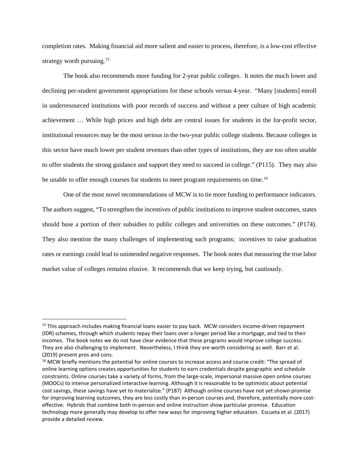completion rates. Making financial aid more salient and easier to process, therefore, is a low-cost effective strategy worth pursuing.<sup>[15](#page-15-0)</sup>

The book also recommends more funding for 2-year public colleges. It notes the much lower and declining per-student government appropriations for these schools versus 4-year. "Many [students] enroll in underresourced institutions with poor records of success and without a peer culture of high academic achievement … While high prices and high debt are central issues for students in the for-profit sector, institutional resources may be the most serious in the two-year public college students. Because colleges in this sector have much lower per student revenues than other types of institutions, they are too often unable to offer students the strong guidance and support they need to succeed in college." (P115). They may also be unable to offer enough courses for students to meet program requirements on time.<sup>[16](#page-15-1)</sup>

One of the most novel recommendations of MCW is to tie more funding to performance indicators. The authors suggest, "To strengthen the incentives of public institutions to improve student outcomes, states should base a portion of their subsidies to public colleges and universities on these outcomes." (P174). They also mention the many challenges of implementing such programs; incentives to raise graduation rates or earnings could lead to unintended negative responses. The book notes that measuring the true labor market value of colleges remains elusive. It recommends that we keep trying, but cautiously.

<span id="page-15-0"></span><sup>&</sup>lt;sup>15</sup> This approach includes making financial loans easier to pay back. MCW considers income-driven repayment (IDR) schemes, through which students repay their loans over a longer period like a mortgage, and tied to their incomes. The book notes we do not have clear evidence that these programs would improve college success. They are also challenging to implement. Nevertheless, I think they are worth considering as well. Barr et al. (2019) present pros and cons.

<span id="page-15-1"></span><sup>&</sup>lt;sup>16</sup> MCW briefly mentions the potential for online courses to increase access and course credit: "The spread of online learning options creates opportunities for students to earn credentials despite geographic and schedule constraints. Online courses take a variety of forms, from the large-scale, impersonal massive open online courses (MOOCs) to intense personalized interactive learning. Although it is reasonable to be optimistic about potential cost savings, these savings have yet to materialize." (P187) Although online courses have not yet shown promise for improving learning outcomes, they are less costly than in-person courses and, therefore, potentially more costeffective. Hybrids that combine both in-person and online instruction show particular promise. Education technology more generally may develop to offer new ways for improving higher education. Escueta et al. (2017) provide a detailed review.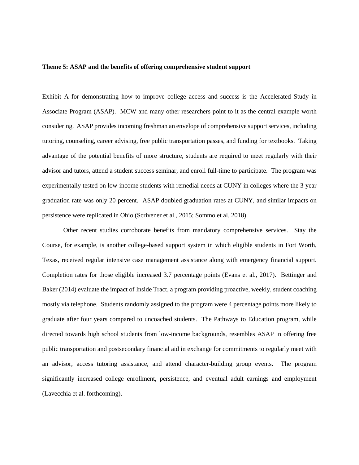#### **Theme 5: ASAP and the benefits of offering comprehensive student support**

Exhibit A for demonstrating how to improve college access and success is the Accelerated Study in Associate Program (ASAP). MCW and many other researchers point to it as the central example worth considering. ASAP provides incoming freshman an envelope of comprehensive support services, including tutoring, counseling, career advising, free public transportation passes, and funding for textbooks. Taking advantage of the potential benefits of more structure, students are required to meet regularly with their advisor and tutors, attend a student success seminar, and enroll full-time to participate. The program was experimentally tested on low-income students with remedial needs at CUNY in colleges where the 3-year graduation rate was only 20 percent. ASAP doubled graduation rates at CUNY, and similar impacts on persistence were replicated in Ohio (Scrivener et al., 2015; Sommo et al. 2018).

Other recent studies corroborate benefits from mandatory comprehensive services. Stay the Course, for example, is another college-based support system in which eligible students in Fort Worth, Texas, received regular intensive case management assistance along with emergency financial support. Completion rates for those eligible increased 3.7 percentage points (Evans et al., 2017). Bettinger and Baker (2014) evaluate the impact of Inside Tract, a program providing proactive, weekly, student coaching mostly via telephone. Students randomly assigned to the program were 4 percentage points more likely to graduate after four years compared to uncoached students. The Pathways to Education program, while directed towards high school students from low-income backgrounds, resembles ASAP in offering free public transportation and postsecondary financial aid in exchange for commitments to regularly meet with an advisor, access tutoring assistance, and attend character-building group events. The program significantly increased college enrollment, persistence, and eventual adult earnings and employment (Lavecchia et al. forthcoming).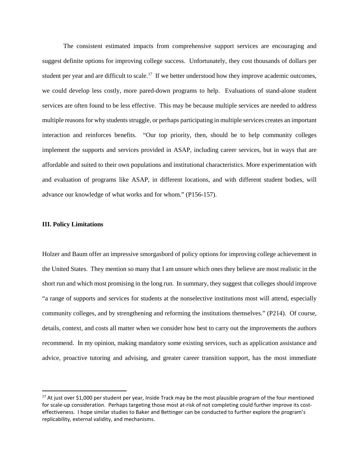The consistent estimated impacts from comprehensive support services are encouraging and suggest definite options for improving college success. Unfortunately, they cost thousands of dollars per student per year and are difficult to scale.<sup>17</sup> If we better understood how they improve academic outcomes, we could develop less costly, more pared-down programs to help. Evaluations of stand-alone student services are often found to be less effective. This may be because multiple services are needed to address multiple reasons for why students struggle, or perhaps participating in multiple services creates an important interaction and reinforces benefits. "Our top priority, then, should be to help community colleges implement the supports and services provided in ASAP, including career services, but in ways that are affordable and suited to their own populations and institutional characteristics. More experimentation with and evaluation of programs like ASAP, in different locations, and with different student bodies, will advance our knowledge of what works and for whom." (P156-157).

#### **III. Policy Limitations**

Holzer and Baum offer an impressive smorgasbord of policy options for improving college achievement in the United States. They mention so many that I am unsure which ones they believe are most realistic in the short run and which most promising in the long run. In summary, they suggest that colleges should improve "a range of supports and services for students at the nonselective institutions most will attend, especially community colleges, and by strengthening and reforming the institutions themselves." (P214). Of course, details, context, and costs all matter when we consider how best to carry out the improvements the authors recommend. In my opinion, making mandatory some existing services, such as application assistance and advice, proactive tutoring and advising, and greater career transition support, has the most immediate

<span id="page-17-0"></span><sup>&</sup>lt;sup>17</sup> At just over \$1,000 per student per year, Inside Track may be the most plausible program of the four mentioned for scale-up consideration. Perhaps targeting those most at-risk of not completing could further improve its costeffectiveness. I hope similar studies to Baker and Bettinger can be conducted to further explore the program's replicability, external validity, and mechanisms.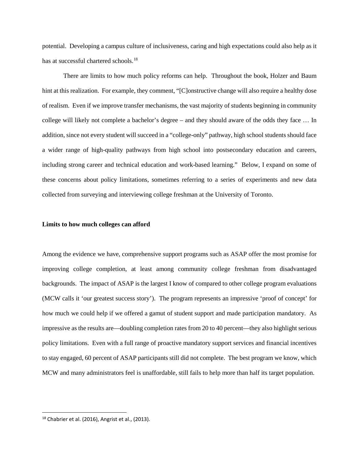potential. Developing a campus culture of inclusiveness, caring and high expectations could also help as it has at successful chartered schools.<sup>[18](#page-18-0)</sup>

There are limits to how much policy reforms can help. Throughout the book, Holzer and Baum hint at this realization. For example, they comment, "[C]onstructive change will also require a healthy dose of realism. Even if we improve transfer mechanisms, the vast majority of students beginning in community college will likely not complete a bachelor's degree – and they should aware of the odds they face … In addition, since not every student will succeed in a "college-only" pathway, high school students should face a wider range of high-quality pathways from high school into postsecondary education and careers, including strong career and technical education and work-based learning." Below, I expand on some of these concerns about policy limitations, sometimes referring to a series of experiments and new data collected from surveying and interviewing college freshman at the University of Toronto.

#### **Limits to how much colleges can afford**

Among the evidence we have, comprehensive support programs such as ASAP offer the most promise for improving college completion, at least among community college freshman from disadvantaged backgrounds. The impact of ASAP is the largest I know of compared to other college program evaluations (MCW calls it 'our greatest success story'). The program represents an impressive 'proof of concept' for how much we could help if we offered a gamut of student support and made participation mandatory. As impressive as the results are—doubling completion rates from 20 to 40 percent—they also highlight serious policy limitations. Even with a full range of proactive mandatory support services and financial incentives to stay engaged, 60 percent of ASAP participants still did not complete. The best program we know, which MCW and many administrators feel is unaffordable, still fails to help more than half its target population.

<span id="page-18-0"></span> $18$  Chabrier et al. (2016), Angrist et al., (2013).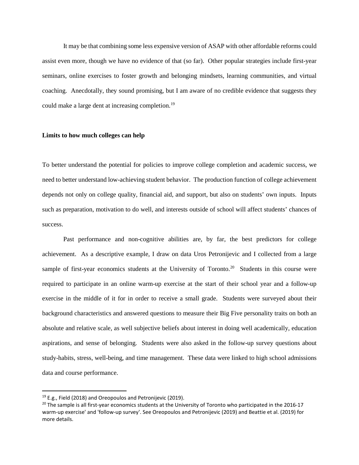It may be that combining some less expensive version of ASAP with other affordable reforms could assist even more, though we have no evidence of that (so far). Other popular strategies include first-year seminars, online exercises to foster growth and belonging mindsets, learning communities, and virtual coaching. Anecdotally, they sound promising, but I am aware of no credible evidence that suggests they could make a large dent at increasing completion.<sup>[19](#page-19-0)</sup>

# **Limits to how much colleges can help**

To better understand the potential for policies to improve college completion and academic success, we need to better understand low-achieving student behavior. The production function of college achievement depends not only on college quality, financial aid, and support, but also on students' own inputs. Inputs such as preparation, motivation to do well, and interests outside of school will affect students' chances of success.

Past performance and non-cognitive abilities are, by far, the best predictors for college achievement. As a descriptive example, I draw on data Uros Petronijevic and I collected from a large sample of first-year economics students at the University of Toronto.<sup>20</sup> Students in this course were required to participate in an online warm-up exercise at the start of their school year and a follow-up exercise in the middle of it for in order to receive a small grade. Students were surveyed about their background characteristics and answered questions to measure their Big Five personality traits on both an absolute and relative scale, as well subjective beliefs about interest in doing well academically, education aspirations, and sense of belonging. Students were also asked in the follow-up survey questions about study-habits, stress, well-being, and time management. These data were linked to high school admissions data and course performance.

<span id="page-19-0"></span><sup>&</sup>lt;sup>19</sup> E.g., Field (2018) and Oreopoulos and Petronijevic (2019).

<span id="page-19-1"></span> $20$  The sample is all first-year economics students at the University of Toronto who participated in the 2016-17 warm-up exercise' and 'follow-up survey'. See Oreopoulos and Petronijevic (2019) and Beattie et al. (2019) for more details.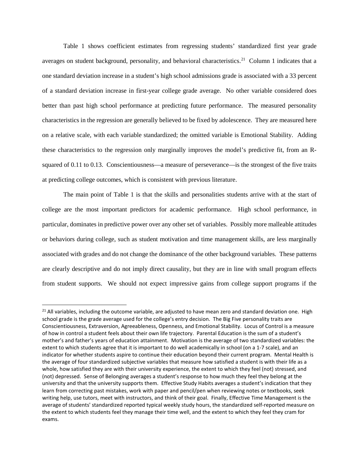Table 1 shows coefficient estimates from regressing students' standardized first year grade averages on student background, personality, and behavioral characteristics.<sup>21</sup> Column 1 indicates that a one standard deviation increase in a student's high school admissions grade is associated with a 33 percent of a standard deviation increase in first-year college grade average. No other variable considered does better than past high school performance at predicting future performance. The measured personality characteristics in the regression are generally believed to be fixed by adolescence. They are measured here on a relative scale, with each variable standardized; the omitted variable is Emotional Stability. Adding these characteristics to the regression only marginally improves the model's predictive fit, from an Rsquared of 0.11 to 0.13. Conscientiousness—a measure of perseverance—is the strongest of the five traits at predicting college outcomes, which is consistent with previous literature.

The main point of Table 1 is that the skills and personalities students arrive with at the start of college are the most important predictors for academic performance. High school performance, in particular, dominates in predictive power over any other set of variables. Possibly more malleable attitudes or behaviors during college, such as student motivation and time management skills, are less marginally associated with grades and do not change the dominance of the other background variables. These patterns are clearly descriptive and do not imply direct causality, but they are in line with small program effects from student supports. We should not expect impressive gains from college support programs if the

<span id="page-20-0"></span> $21$  All variables, including the outcome variable, are adjusted to have mean zero and standard deviation one. High school grade is the grade average used for the college's entry decision. The Big Five personality traits are Conscientiousness, Extraversion, Agreeableness, Openness, and Emotional Stability. Locus of Control is a measure of how in control a student feels about their own life trajectory. Parental Education is the sum of a student's mother's and father's years of education attainment. Motivation is the average of two standardized variables: the extent to which students agree that it is important to do well academically in school (on a 1-7 scale), and an indicator for whether students aspire to continue their education beyond their current program. Mental Health is the average of four standardized subjective variables that measure how satisfied a student is with their life as a whole, how satisfied they are with their university experience, the extent to which they feel (not) stressed, and (not) depressed. Sense of Belonging averages a student's response to how much they feel they belong at the university and that the university supports them. Effective Study Habits averages a student's indication that they learn from correcting past mistakes, work with paper and pencil/pen when reviewing notes or textbooks, seek writing help, use tutors, meet with instructors, and think of their goal. Finally, Effective Time Management is the average of students' standardized reported typical weekly study hours, the standardized self-reported measure on the extent to which students feel they manage their time well, and the extent to which they feel they cram for exams.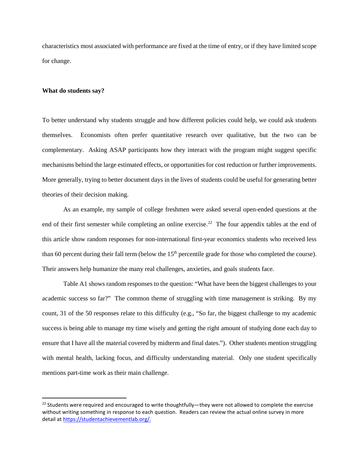characteristics most associated with performance are fixed at the time of entry, or if they have limited scope for change.

### **What do students say?**

To better understand why students struggle and how different policies could help, we could ask students themselves. Economists often prefer quantitative research over qualitative, but the two can be complementary. Asking ASAP participants how they interact with the program might suggest specific mechanisms behind the large estimated effects, or opportunities for cost reduction or further improvements. More generally, trying to better document days in the lives of students could be useful for generating better theories of their decision making.

As an example, my sample of college freshmen were asked several open-ended questions at the end of their first semester while completing an online exercise.<sup>22</sup> The four appendix tables at the end of this article show random responses for non-international first-year economics students who received less than 60 percent during their fall term (below the 15<sup>th</sup> percentile grade for those who completed the course). Their answers help humanize the many real challenges, anxieties, and goals students face.

Table A1 shows random responses to the question: "What have been the biggest challenges to your academic success so far?" The common theme of struggling with time management is striking. By my count, 31 of the 50 responses relate to this difficulty (e.g., "So far, the biggest challenge to my academic success is being able to manage my time wisely and getting the right amount of studying done each day to ensure that I have all the material covered by midterm and final dates."). Other students mention struggling with mental health, lacking focus, and difficulty understanding material. Only one student specifically mentions part-time work as their main challenge.

<span id="page-21-0"></span><sup>&</sup>lt;sup>22</sup> Students were required and encouraged to write thoughtfully—they were not allowed to complete the exercise without writing something in response to each question. Readers can review the actual online survey in more detail a[t https://studentachievementlab.org/.](https://studentachievementlab.org/)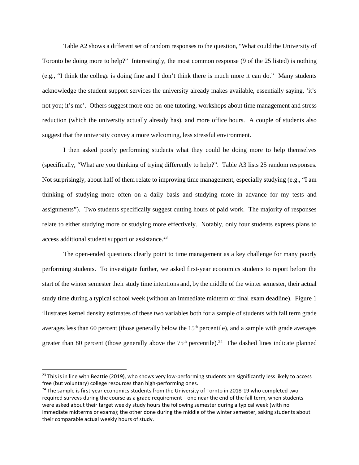Table A2 shows a different set of random responses to the question, "What could the University of Toronto be doing more to help?" Interestingly, the most common response (9 of the 25 listed) is nothing (e.g., "I think the college is doing fine and I don't think there is much more it can do." Many students acknowledge the student support services the university already makes available, essentially saying, 'it's not you; it's me'. Others suggest more one-on-one tutoring, workshops about time management and stress reduction (which the university actually already has), and more office hours. A couple of students also suggest that the university convey a more welcoming, less stressful environment.

I then asked poorly performing students what they could be doing more to help themselves (specifically, "What are you thinking of trying differently to help?". Table A3 lists 25 random responses. Not surprisingly, about half of them relate to improving time management, especially studying (e.g., "I am thinking of studying more often on a daily basis and studying more in advance for my tests and assignments"). Two students specifically suggest cutting hours of paid work. The majority of responses relate to either studying more or studying more effectively. Notably, only four students express plans to access additional student support or assistance.<sup>[23](#page-22-0)</sup>

The open-ended questions clearly point to time management as a key challenge for many poorly performing students. To investigate further, we asked first-year economics students to report before the start of the winter semester their study time intentions and, by the middle of the winter semester, their actual study time during a typical school week (without an immediate midterm or final exam deadline). Figure 1 illustrates kernel density estimates of these two variables both for a sample of students with fall term grade averages less than 60 percent (those generally below the 15<sup>th</sup> percentile), and a sample with grade averages greater than 80 percent (those generally above the  $75<sup>th</sup>$  percentile).<sup>24</sup> The dashed lines indicate planned

<span id="page-22-0"></span> $^{23}$  This is in line with Beattie (2019), who shows very low-performing students are significantly less likely to access free (but voluntary) college resources than high-performing ones.

<span id="page-22-1"></span><sup>&</sup>lt;sup>24</sup> The sample is first-year economics students from the University of Tornto in 2018-19 who completed two required surveys during the course as a grade requirement—one near the end of the fall term, when students were asked about their target weekly study hours the following semester during a typical week (with no immediate midterms or exams); the other done during the middle of the winter semester, asking students about their comparable actual weekly hours of study.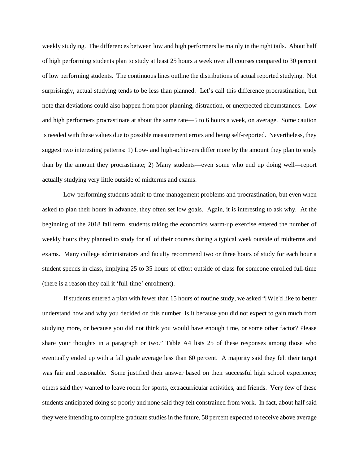weekly studying. The differences between low and high performers lie mainly in the right tails. About half of high performing students plan to study at least 25 hours a week over all courses compared to 30 percent of low performing students. The continuous lines outline the distributions of actual reported studying. Not surprisingly, actual studying tends to be less than planned. Let's call this difference procrastination, but note that deviations could also happen from poor planning, distraction, or unexpected circumstances. Low and high performers procrastinate at about the same rate—5 to 6 hours a week, on average. Some caution is needed with these values due to possible measurement errors and being self-reported. Nevertheless, they suggest two interesting patterns: 1) Low- and high-achievers differ more by the amount they plan to study than by the amount they procrastinate; 2) Many students—even some who end up doing well—report actually studying very little outside of midterms and exams.

Low-performing students admit to time management problems and procrastination, but even when asked to plan their hours in advance, they often set low goals. Again, it is interesting to ask why. At the beginning of the 2018 fall term, students taking the economics warm-up exercise entered the number of weekly hours they planned to study for all of their courses during a typical week outside of midterms and exams. Many college administrators and faculty recommend two or three hours of study for each hour a student spends in class, implying 25 to 35 hours of effort outside of class for someone enrolled full-time (there is a reason they call it 'full-time' enrolment).

If students entered a plan with fewer than 15 hours of routine study, we asked "[W]e'd like to better understand how and why you decided on this number. Is it because you did not expect to gain much from studying more, or because you did not think you would have enough time, or some other factor? Please share your thoughts in a paragraph or two." Table A4 lists 25 of these responses among those who eventually ended up with a fall grade average less than 60 percent. A majority said they felt their target was fair and reasonable. Some justified their answer based on their successful high school experience; others said they wanted to leave room for sports, extracurricular activities, and friends. Very few of these students anticipated doing so poorly and none said they felt constrained from work. In fact, about half said they were intending to complete graduate studies in the future, 58 percent expected to receive above average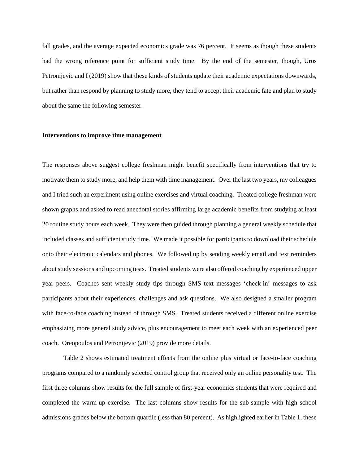fall grades, and the average expected economics grade was 76 percent. It seems as though these students had the wrong reference point for sufficient study time. By the end of the semester, though, Uros Petronijevic and I (2019) show that these kinds of students update their academic expectations downwards, but rather than respond by planning to study more, they tend to accept their academic fate and plan to study about the same the following semester.

#### **Interventions to improve time management**

The responses above suggest college freshman might benefit specifically from interventions that try to motivate them to study more, and help them with time management. Over the last two years, my colleagues and I tried such an experiment using online exercises and virtual coaching. Treated college freshman were shown graphs and asked to read anecdotal stories affirming large academic benefits from studying at least 20 routine study hours each week. They were then guided through planning a general weekly schedule that included classes and sufficient study time. We made it possible for participants to download their schedule onto their electronic calendars and phones. We followed up by sending weekly email and text reminders about study sessions and upcoming tests. Treated students were also offered coaching by experienced upper year peers. Coaches sent weekly study tips through SMS text messages 'check-in' messages to ask participants about their experiences, challenges and ask questions. We also designed a smaller program with face-to-face coaching instead of through SMS. Treated students received a different online exercise emphasizing more general study advice, plus encouragement to meet each week with an experienced peer coach. Oreopoulos and Petronijevic (2019) provide more details.

Table 2 shows estimated treatment effects from the online plus virtual or face-to-face coaching programs compared to a randomly selected control group that received only an online personality test. The first three columns show results for the full sample of first-year economics students that were required and completed the warm-up exercise. The last columns show results for the sub-sample with high school admissions grades below the bottom quartile (less than 80 percent). As highlighted earlier in Table 1, these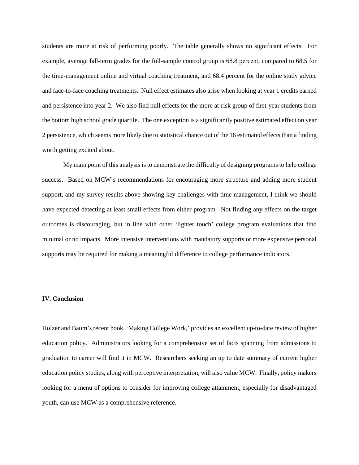students are more at risk of performing poorly. The table generally shows no significant effects. For example, average fall-term grades for the full-sample control group is 68.8 percent, compared to 68.5 for the time-management online and virtual coaching treatment, and 68.4 percent for the online study advice and face-to-face coaching treatments. Null effect estimates also arise when looking at year 1 credits earned and persistence into year 2. We also find null effects for the more at-risk group of first-year students from the bottom high school grade quartile. The one exception is a significantly positive estimated effect on year 2 persistence, which seems more likely due to statistical chance out of the 16 estimated effects than a finding worth getting excited about.

My main point of this analysis is to demonstrate the difficulty of designing programs to help college success. Based on MCW's recommendations for encouraging more structure and adding more student support, and my survey results above showing key challenges with time management, I think we should have expected detecting at least small effects from either program. Not finding any effects on the target outcomes is discouraging, but in line with other 'lighter touch' college program evaluations that find minimal or no impacts. More intensive interventions with mandatory supports or more expensive personal supports may be required for making a meaningful difference to college performance indicators.

### **IV. Conclusion**

Holzer and Baum's recent book, 'Making College Work,' provides an excellent up-to-date review of higher education policy. Administrators looking for a comprehensive set of facts spanning from admissions to graduation to career will find it in MCW. Researchers seeking an up to date summary of current higher education policy studies, along with perceptive interpretation, will also value MCW. Finally, policy makers looking for a menu of options to consider for improving college attainment, especially for disadvantaged youth, can use MCW as a comprehensive reference.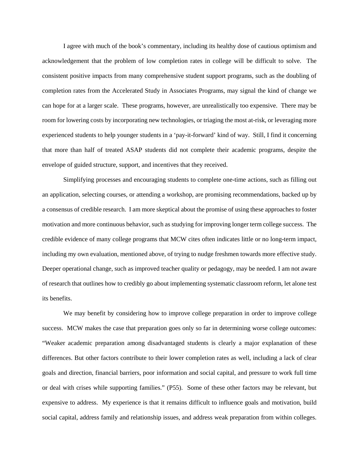I agree with much of the book's commentary, including its healthy dose of cautious optimism and acknowledgement that the problem of low completion rates in college will be difficult to solve. The consistent positive impacts from many comprehensive student support programs, such as the doubling of completion rates from the Accelerated Study in Associates Programs, may signal the kind of change we can hope for at a larger scale. These programs, however, are unrealistically too expensive. There may be room for lowering costs by incorporating new technologies, or triaging the most at-risk, or leveraging more experienced students to help younger students in a 'pay-it-forward' kind of way. Still, I find it concerning that more than half of treated ASAP students did not complete their academic programs, despite the envelope of guided structure, support, and incentives that they received.

Simplifying processes and encouraging students to complete one-time actions, such as filling out an application, selecting courses, or attending a workshop, are promising recommendations, backed up by a consensus of credible research. I am more skeptical about the promise of using these approaches to foster motivation and more continuous behavior, such as studying for improving longer term college success. The credible evidence of many college programs that MCW cites often indicates little or no long-term impact, including my own evaluation, mentioned above, of trying to nudge freshmen towards more effective study. Deeper operational change, such as improved teacher quality or pedagogy, may be needed. I am not aware of research that outlines how to credibly go about implementing systematic classroom reform, let alone test its benefits.

We may benefit by considering how to improve college preparation in order to improve college success. MCW makes the case that preparation goes only so far in determining worse college outcomes: "Weaker academic preparation among disadvantaged students is clearly a major explanation of these differences. But other factors contribute to their lower completion rates as well, including a lack of clear goals and direction, financial barriers, poor information and social capital, and pressure to work full time or deal with crises while supporting families." (P55). Some of these other factors may be relevant, but expensive to address. My experience is that it remains difficult to influence goals and motivation, build social capital, address family and relationship issues, and address weak preparation from within colleges.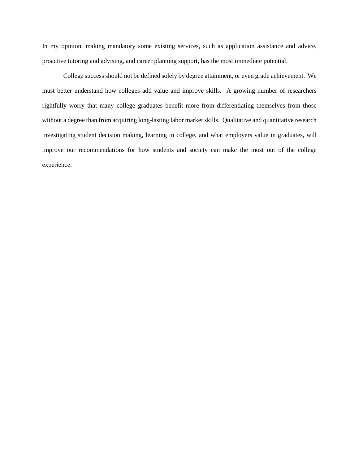In my opinion, making mandatory some existing services, such as application assistance and advice, proactive tutoring and advising, and career planning support, has the most immediate potential.

College success should not be defined solely by degree attainment, or even grade achievement. We must better understand how colleges add value and improve skills. A growing number of researchers rightfully worry that many college graduates benefit more from differentiating themselves from those without a degree than from acquiring long-lasting labor market skills. Qualitative and quantitative research investigating student decision making, learning in college, and what employers value in graduates, will improve our recommendations for how students and society can make the most out of the college experience.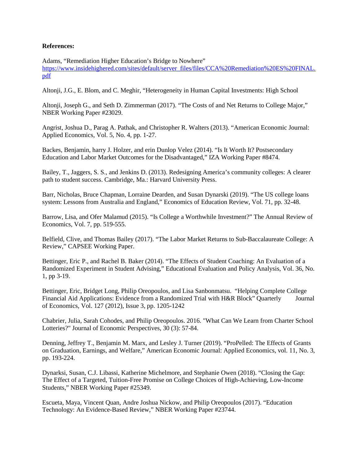# **References:**

Adams, "Remediation Higher Education's Bridge to Nowhere" [https://www.insidehighered.com/sites/default/server\\_files/files/CCA%20Remediation%20ES%20FINAL.](https://www.insidehighered.com/sites/default/server_files/files/CCA%20Remediation%20ES%20FINAL.pdf) [pdf](https://www.insidehighered.com/sites/default/server_files/files/CCA%20Remediation%20ES%20FINAL.pdf)

Altonji, J.G., E. Blom, and C. Meghir, "Heterogeneity in Human Capital Investments: High School

Altonji, Joseph G., and Seth D. Zimmerman (2017). "The Costs of and Net Returns to College Major," NBER Working Paper #23029.

Angrist, Joshua D., Parag A. Pathak, and Christopher R. Walters (2013). "American Economic Journal: Applied Economics, Vol. 5, No. 4, pp. 1-27.

Backes, Benjamin, harry J. Holzer, and erin Dunlop Velez (2014). "Is It Worth It? Postsecondary Education and Labor Market Outcomes for the Disadvantaged," IZA Working Paper #8474.

Bailey, T., Jaggers, S. S., and Jenkins D. (2013). Redesigning America's community colleges: A clearer path to student success. Cambridge, Ma.: Harvard University Press.

Barr, Nicholas, Bruce Chapman, Lorraine Dearden, and Susan Dynarski (2019). "The US college loans system: Lessons from Australia and England," Economics of Education Review, Vol. 71, pp. 32-48.

Barrow, Lisa, and Ofer Malamud (2015). "Is College a Worthwhile Investment?" The Annual Review of Economics, Vol. 7, pp. 519-555.

Belfield, Clive, and Thomas Bailey (2017). "The Labor Market Returns to Sub-Baccalaureate College: A Review," CAPSEE Working Paper.

Bettinger, Eric P., and Rachel B. Baker (2014). "The Effects of Student Coaching: An Evaluation of a Randomized Experiment in Student Advising," Educational Evaluation and Policy Analysis, Vol. 36, No. 1, pp 3-19.

Bettinger, Eric, Bridget Long, Philip Oreopoulos, and Lisa Sanbonmatsu. "Helping Complete College Financial Aid Applications: Evidence from a Randomized Trial with H&R Block" Quarterly Journal of Economics, Vol. 127 (2012), Issue 3, pp. 1205-1242

Chabrier, Julia, Sarah Cohodes, and Philip Oreopoulos. 2016. "What Can We Learn from Charter School Lotteries?" Journal of Economic Perspectives, 30 (3): 57-84.

Denning, Jeffrey T., Benjamin M. Marx, and Lesley J. Turner (2019). "ProPelled: The Effects of Grants on Graduation, Earnings, and Welfare," American Economic Journal: Applied Economics, vol. 11, No. 3, pp. 193-224.

Dynarksi, Susan, C.J. Libassi, Katherine Michelmore, and Stephanie Owen (2018). "Closing the Gap: The Effect of a Targeted, Tuition-Free Promise on College Choices of High-Achieving, Low-Income Students," NBER Working Paper #25349.

Escueta, Maya, Vincent Quan, Andre Joshua Nickow, and Philip Oreopoulos (2017). "Education Technology: An Evidence-Based Review," NBER Working Paper #23744.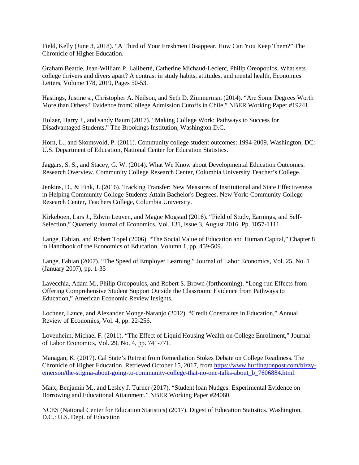Field, Kelly (June 3, 2018). "A Third of Your Freshmen Disappear. How Can You Keep Them?" The Chronicle of Higher Education.

Graham Beattie, Jean-William P. Laliberté, Catherine Michaud-Leclerc, Philip Oreopoulos, What sets college thrivers and divers apart? A contrast in study habits, attitudes, and mental health, Economics Letters, Volume 178, 2019, Pages 50-53.

Hastings, Justine s., Christopher A. Neilson, and Seth D. Zimmerman (2014). "Are Some Degrees Worth More than Others? Evidence fromCollege Admission Cutoffs in Chile," NBER Working Paper #19241.

Holzer, Harry J., and sandy Baum (2017). "Making College Work: Pathways to Success for Disadvantaged Students," The Brookings Institution, Washington D.C.

Horn, L., and Skomsvold, P. (2011). Community college student outcomes: 1994-2009. Washington, DC: U.S. Department of Education, National Center for Education Statistics.

Jaggars, S. S., and Stacey, G. W. (2014). What We Know about Developmental Education Outcomes. Research Overview. Community College Research Center, Columbia University Teacher's College.

Jenkins, D., & Fink, J. (2016). Tracking Transfer: New Measures of Institutional and State Effectiveness in Helping Community College Students Attain Bachelor's Degrees. New York: Community College Research Center, Teachers College, Columbia University.

Kirkeboen, Lars J., Edwin Leuven, and Magne Mogstad (2016). "Field of Study, Earnings, and Self-Selection," Quarterly Journal of Economics, Vol. 131, Issue 3, August 2016. Pp. 1057-1111.

Lange, Fabian, and Robert Topel (2006). "The Social Value of Education and Human Capital," Chapter 8 in Handbook of the Economics of Education, Volumn 1, pp. 459-509.

Lange, Fabian (2007). "The Speed of Employer Learning," Journal of Labor Economics, Vol. 25, No. 1 (January 2007), pp. 1-35

Lavecchia, Adam M., Philip Oreopoulos, and Robert S. Brown (forthcoming). "Long-run Effects from Offering Comprehensive Student Support Outside the Classroom: Evidence from Pathways to Education," American Economic Review Insights.

Lochner, Lance, and Alexander Monge-Naranjo (2012). "Credit Constraints in Education," Annual Review of Economics, Vol. 4, pp. 22-256.

Lovenheim, Michael F. (2011). "The Effect of Liquid Housing Wealth on College Enrollment," Journal of Labor Economics, Vol. 29, No. 4, pp. 741-771.

Managan, K. (2017). Cal State's Retreat from Remediation Stokes Debate on College Readiness. The Chronicle of Higher Education. Retrieved October 15, 2017, from [https://www.huffingtonpost.com/bizzy](https://www.huffingtonpost.com/bizzy-emerson/the-stigma-about-going-to-community-college-that-no-one-talks-about_b_7606884.html)emerson/the-stigma-about-going-to-community-college-that-no-one-talks-about b 7606884.html.

Marx, Benjamin M., and Lesley J. Turner (2017). "Student loan Nudges: Experimental Evidence on Borrowing and Educational Attainment," NBER Working Paper #24060.

NCES (National Center for Education Statistics) (2017). Digest of Education Statistics. Washington, D.C.: U.S. Dept. of Education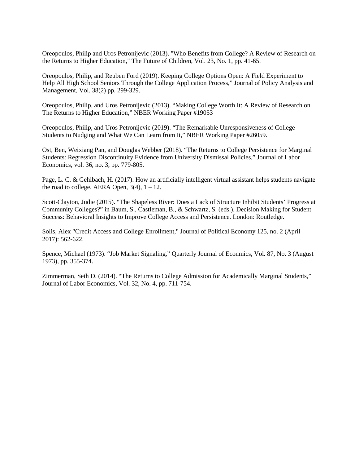Oreopoulos, Philip and Uros Petronijevic (2013). "Who Benefits from College? A Review of Research on the Returns to Higher Education," The Future of Children, Vol. 23, No. 1, pp. 41-65.

Oreopoulos, Philip, and Reuben Ford (2019). Keeping College Options Open: A Field Experiment to Help All High School Seniors Through the College Application Process," Journal of Policy Analysis and Management, Vol. 38(2) pp. 299-329.

Oreopoulos, Philip, and Uros Petronijevic (2013). "Making College Worth It: A Review of Research on The Returns to Higher Education," NBER Working Paper #19053

Oreopoulos, Philip, and Uros Petronijevic (2019). "The Remarkable Unresponsiveness of College Students to Nudging and What We Can Learn from It," NBER Working Paper #26059.

Ost, Ben, Weixiang Pan, and Douglas Webber (2018). "The Returns to College Persistence for Marginal Students: Regression Discontinuity Evidence from University Dismissal Policies," Journal of Labor Economics, vol. 36, no. 3, pp. 779-805.

Page, L. C. & Gehlbach, H. (2017). How an artificially intelligent virtual assistant helps students navigate the road to college. AERA Open,  $3(4)$ ,  $1 - 12$ .

Scott-Clayton, Judie (2015). "The Shapeless River: Does a Lack of Structure Inhibit Students' Progress at Community Colleges?" in Baum, S., Castleman, B., & Schwartz, S. (eds.). Decision Making for Student Success: Behavioral Insights to Improve College Access and Persistence. London: Routledge.

Solis, Alex "Credit Access and College Enrollment," Journal of Political Economy 125, no. 2 (April 2017): 562-622.

Spence, Michael (1973). "Job Market Signaling," Quarterly Journal of Econmics, Vol. 87, No. 3 (August 1973), pp. 355-374.

Zimmerman, Seth D. (2014). "The Returns to College Admission for Academically Marginal Students," Journal of Labor Economics, Vol. 32, No. 4, pp. 711-754.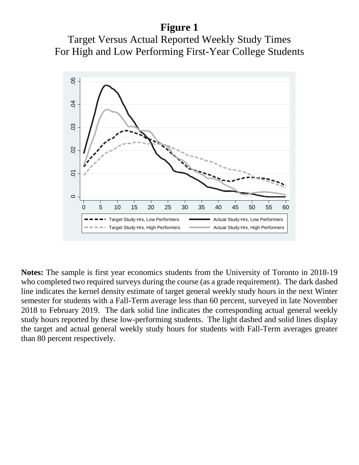# **Figure 1**





**Notes:** The sample is first year economics students from the University of Toronto in 2018-19 who completed two required surveys during the course (as a grade requirement). The dark dashed line indicates the kernel density estimate of target general weekly study hours in the next Winter semester for students with a Fall-Term average less than 60 percent, surveyed in late November 2018 to February 2019. The dark solid line indicates the corresponding actual general weekly study hours reported by these low-performing students. The light dashed and solid lines display the target and actual general weekly study hours for students with Fall-Term averages greater than 80 percent respectively.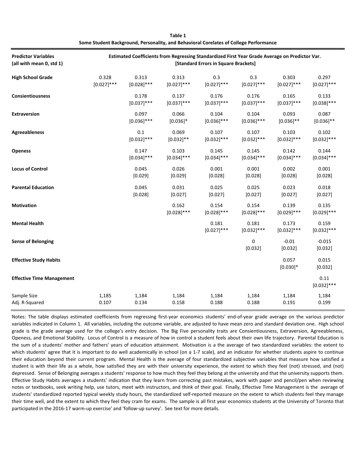| <b>Predictor Variables</b><br>(all with mean 0, std 1) | Estimated Coefficients from Regressing Standardized First Year Grade Average on Predictor Var.<br>[Standard Errors in Square Brackets] |                          |                        |                        |                        |                        |                        |  |
|--------------------------------------------------------|----------------------------------------------------------------------------------------------------------------------------------------|--------------------------|------------------------|------------------------|------------------------|------------------------|------------------------|--|
| <b>High School Grade</b>                               | 0.328<br>$[0.027]$ ***                                                                                                                 | 0.313<br>$[0.028]$ ***   | 0.313<br>$[0.027]$ *** | 0.3<br>$[0.027]$ ***   | 0.3<br>$[0.027]$ ***   | 0.303<br>$[0.027]$ *** | 0.297<br>$[0.027]$ *** |  |
| <b>Consientiousness</b>                                |                                                                                                                                        | 0.178<br>$[0.037]$ ***   | 0.137<br>$[0.037]$ *** | 0.176<br>$[0.037]$ *** | 0.176<br>$[0.037]$ *** | 0.165<br>$[0.037]$ *** | 0.133<br>$[0.038]$ *** |  |
| <b>Extraversion</b>                                    |                                                                                                                                        | 0.097<br>$[0.036]$ ***   | 0.066<br>$[0.036]$ *   | 0.104<br>$[0.036]$ *** | 0.104<br>$[0.036]$ *** | 0.093<br>$[0.036]$ **  | 0.087<br>$[0.036]$ **  |  |
| <b>Agreeableness</b>                                   |                                                                                                                                        | $0.1\,$<br>$[0.032]$ *** | 0.069<br>$[0.032]$ **  | 0.107<br>$[0.032]$ *** | 0.107<br>$[0.032]$ *** | 0.103<br>$[0.032]$ *** | 0.102<br>$[0.032]$ *** |  |
| <b>Openess</b>                                         |                                                                                                                                        | 0.147<br>$[0.034]$ ***   | 0.103<br>$[0.034]$ *** | 0.145<br>$[0.034]$ *** | 0.145<br>$[0.034]$ *** | 0.142<br>$[0.034]$ *** | 0.144<br>$[0.034]$ *** |  |
| <b>Locus of Control</b>                                |                                                                                                                                        | 0.045<br>[0.029]         | 0.026<br>[0.029]       | 0.001<br>[0.028]       | 0.001<br>[0.028]       | 0.002<br>[0.028]       | 0.001<br>[0.028]       |  |
| <b>Parental Education</b>                              |                                                                                                                                        | 0.045<br>[0.028]         | 0.031<br>[0.027]       | 0.025<br>[0.027]       | 0.025<br>[0.027]       | 0.023<br>[0.027]       | 0.018<br>[0.027]       |  |
| <b>Motivation</b>                                      |                                                                                                                                        |                          | 0.162<br>$[0.028]$ *** | 0.154<br>$[0.028]$ *** | 0.154<br>$[0.028]$ *** | 0.139<br>$[0.029]$ *** | 0.135<br>$[0.029]$ *** |  |
| <b>Mental Health</b>                                   |                                                                                                                                        |                          |                        | 0.181<br>$[0.027]$ *** | 0.181<br>$[0.032]$ *** | 0.173<br>$[0.032]$ *** | 0.159<br>$[0.032]$ *** |  |
| <b>Sense of Belonging</b>                              |                                                                                                                                        |                          |                        |                        | $\pmb{0}$<br>[0.032]   | $-0.01$<br>[0.032]     | $-0.015$<br>[0.032]    |  |
| <b>Effective Study Habits</b>                          |                                                                                                                                        |                          |                        |                        |                        | 0.057<br>$[0.030]*$    | 0.015<br>[0.032]       |  |
| <b>Effective Time Management</b>                       |                                                                                                                                        |                          |                        |                        |                        |                        | 0.11<br>$[0.032]$ ***  |  |
| Sample Size<br>Adj. R-Squared                          | 1,185<br>0.107                                                                                                                         | 1,184<br>0.134           | 1,184<br>0.158         | 1,184<br>0.188         | 1,184<br>0.188         | 1,184<br>0.191         | 1,184<br>0.199         |  |

**Table 1 Some Student Background, Personality, and Behavioral Corelates of College Performance**

Notes: The table displays estimated coefficients from regressing first-year economics students' end-of-year grade average on the various predictor variables indicated in Column 1. All variables, including the outcome variable, are adjusted to have mean zero and standard deviation one. High school grade is the grade average used for the college's entry decision. The Big Five personality traits are Consientiousness, Extraversion, Agreeableness, Openess, and Emotional Stability. Locus of Control is a measure of how in control a student feels about their own life trajectory. Parental Education is the sum of a students' mother and fathers' years of education attainment. Motivation is a the average of two standardized variables: the extent to which students' agree that it is important to do well academically in school (on a 1-7 scale), and an indicator for whether students aspire to continue their education beyond their current program. Mental Health is the average of four standardized subjective variables that measure how satisfied a student is with their life as a whole, how satisfied they are with their university experience, the extent to which they feel (not) stressed, and (not) depressed. Sense of Belonging averages a students' response to how much they feel they belong at the university and that the university supports them. Effective Study Habits averages a students' indication that they learn from correcting past mistakes, work with paper and pencil/pen when reviewing notes or textbooks, seek writing help, use tutors, meet with instructors, and think of their goal. Finally, Effective Time Management is the average of students' standardized reported typical weekly study hours, the standardized self-reported measure on the extent to which students feel they manage their time well, and the extent to which they feel they cram for exams. The sample is all first year economics students at the University of Toronto that participated in the 2016-17 warm-up exercise' and 'follow-up survey'. See text for more details.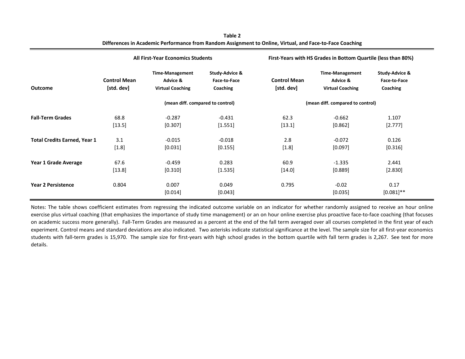|                                     | <b>All First-Year Economics Students</b> |                                                               |                                            | First-Years with HS Grades in Bottom Quartile (less than 80%) |                                                               |                                            |
|-------------------------------------|------------------------------------------|---------------------------------------------------------------|--------------------------------------------|---------------------------------------------------------------|---------------------------------------------------------------|--------------------------------------------|
| <b>Outcome</b>                      | <b>Control Mean</b><br>[std. dev]        | <b>Time-Management</b><br>Advice &<br><b>Virtual Coaching</b> | Study-Advice &<br>Face-to-Face<br>Coaching | <b>Control Mean</b><br>[std. dev]                             | <b>Time-Management</b><br>Advice &<br><b>Virtual Coaching</b> | Study-Advice &<br>Face-to-Face<br>Coaching |
|                                     |                                          | (mean diff. compared to control)                              |                                            |                                                               | (mean diff. compared to control)                              |                                            |
| <b>Fall-Term Grades</b>             | 68.8<br>[13.5]                           | $-0.287$<br>[0.307]                                           | $-0.431$<br>[1.551]                        | 62.3<br>$[13.1]$                                              | $-0.662$<br>[0.862]                                           | 1.107<br>[2.777]                           |
| <b>Total Credits Earned, Year 1</b> | 3.1<br>$[1.8]$                           | $-0.015$<br>[0.031]                                           | $-0.018$<br>[0.155]                        | 2.8<br>$[1.8]$                                                | $-0.072$<br>[0.097]                                           | 0.126<br>[0.316]                           |
| Year 1 Grade Average                | 67.6<br>[13.8]                           | $-0.459$<br>[0.310]                                           | 0.283<br>[1.535]                           | 60.9<br>$[14.0]$                                              | $-1.335$<br>[0.889]                                           | 2.441<br>[2.830]                           |
| <b>Year 2 Persistence</b>           | 0.804                                    | 0.007<br>[0.014]                                              | 0.049<br>[0.043]                           | 0.795                                                         | $-0.02$<br>[0.035]                                            | 0.17<br>$[0.081]$ **                       |

**Table 2 Differences in Academic Performance from Random Assignment to Online, Virtual, and Face-to-Face Coaching**

Notes: The table shows coefficient estimates from regressing the indicated outcome variable on an indicator for whether randomly assigned to receive an hour online exercise plus virtual coaching (that emphasizes the importance of study time management) or an on hour online exercise plus proactive face-to-face coaching (that focuses on academic success more generally). Fall-Term Grades are measured as a percent at the end of the fall term averaged over all courses completed in the first year of each experiment. Control means and standard deviations are also indicated. Two asterisks indicate statistical significance at the level. The sample size for all first-year economics students with fall-term grades is 15,970. The sample size for first-years with high school grades in the bottom quartile with fall term grades is 2,267. See text for more details.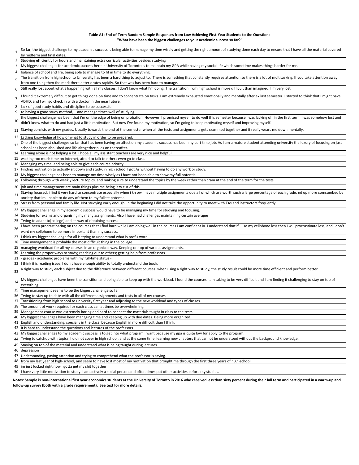#### **Table A1: End-of-Term Random Sample Responses from Low Achieving First-Year Students to the Question: "What have been the biggest challenges to your academic success so far?"**

| $\mathbf{1}$    | So far, the biggest challenge to my academic success is being able to manage my time wisely and getting the right amount of studying done each day to ensure that I have all the material covered<br>by midterm and final dates.                                                 |
|-----------------|----------------------------------------------------------------------------------------------------------------------------------------------------------------------------------------------------------------------------------------------------------------------------------|
| 2               | Studying efficiently for hours and maintaining extra curricular activities besides studying                                                                                                                                                                                      |
| 3               | My biggest challenges for academic success here in University of Toronto is to maintain my GPA while having my social life which sometime makes things harder for me.                                                                                                            |
|                 | 4   balance of school and life, being able to manage to fit in time to do everything.                                                                                                                                                                                            |
| 5               | The transition from highschool to University has been a hard thing to adjust to. There is something that constantly requires attention so there is a lot of multitasking. If you take attention away                                                                             |
|                 | from one thing then the mark there deteriorates rapidly. So that was has been hard to manage.                                                                                                                                                                                    |
| 6               | Still really lost about what's happening with all my classes. I don't know what I'm doing. The transition from high school is more difficult than imagined; I'm very lost                                                                                                        |
| $\overline{7}$  | I found it extremely difficult to get things done on time and to concentrate on tasks. I am extremely exhausted emotionally and mentally after ex last semester. I started to think that I might have                                                                            |
| 8               | ADHD, and I will go check in with a doctor in the near future.<br>lack of good study habits and discipline to be successful                                                                                                                                                      |
| 9               | to having a good study method, and manage times well of studying.                                                                                                                                                                                                                |
|                 | the biggest challenge has been that i'm on the edge of being on probation. However, I promised myself to do well this semester because i was lacking off in the first term. I was somehow lost and                                                                               |
| 10              | didn't know what to do and had just a little motivation. But now I've found my motivation, so I'm going to keep motivating myself and improving myself.                                                                                                                          |
| 11 <sup>1</sup> | Staying consists with my grades. Usually towards the end of the semester when all the tests and assignments gets crammed together and it really wears me down mentally.                                                                                                          |
|                 | 12 Lacking knowledge of how or what to study in order to be prepared.                                                                                                                                                                                                            |
| 13              | One of the biggest challenges so far that has been having an affect on my academic success has been my part time job. As I am a mature student attending university the luxury of focusing on just                                                                               |
|                 | school has been abolished and life altogether piles on thereafter.                                                                                                                                                                                                               |
|                 | 14 Learning alone is not helping a lot. I hope all my assistant teachers are very nice and helpful.                                                                                                                                                                              |
|                 | 15 wasting too much time on internet, afraid to talk to others even go to class.                                                                                                                                                                                                 |
|                 | 16 Managing my time, and being able to give each course priority.                                                                                                                                                                                                                |
|                 | 17 Finding motivation to actually sit down and study, in high school I got As without having to do any work or study.                                                                                                                                                            |
|                 | 18   My biggest challenge has been to manage my time wisely as I have not been able to show my full potential.<br>Following through with weekly lecture topics, and making sure to understand the topics by the week rather than cram at the end of the term for the tests.      |
| 19              |                                                                                                                                                                                                                                                                                  |
| 20 <sub>1</sub> | job and time management are main things plus me being lazy cuz of this.                                                                                                                                                                                                          |
| 21              | Staying focused. i find it very hard to concentrate especially when i kn ow i have multiple assignments due all of which are worth such a large percentage of each grade. nd up more comsumbed by                                                                                |
|                 | anxiety that im unable to do any of them to my fullest potential<br>22 Stress from personal and family life. Not studying early enough. In the beginning I did not take the opportunity to meet with TAs and instructors frequently.                                             |
|                 |                                                                                                                                                                                                                                                                                  |
|                 | 23 My biggest challenge in my academic success would have to be managing my time for studying and focusing.                                                                                                                                                                      |
|                 | 24 Studying for exams and organising my many assignments. Also I have had challenges maintaining certain averages.                                                                                                                                                               |
|                 | 25 Trying to adapt to [college] and its way of obtaining success<br>I have been procrastinating on the courses that I find hard while I am doing well in the courses I am confident in. I understand that if I use my cellphone less then I will procrastinate less, and I don't |
| 26              | want my cellphone to be more important than my success.                                                                                                                                                                                                                          |
|                 | 27 I think my biggest challenge for all is trying to understand what is prof's word                                                                                                                                                                                              |
|                 | 28 Time management is probably the most difficult thing in the college.                                                                                                                                                                                                          |
| 29              | managing workload for all my courses in an organized way. Keeping on top of various assignments.                                                                                                                                                                                 |
|                 | 30 Learning the proper ways to study; reaching out to others; getting help from professors                                                                                                                                                                                       |
| 31              | - grades - academic problems with my full-time status -                                                                                                                                                                                                                          |
|                 | 32 I think it is reading issue, I don't have enough ability to totally understand the book.                                                                                                                                                                                      |
| 33              | a right way to study each subject due to the difference between different courses. when using a right way to study, the study result could be more time efficient and perform better.                                                                                            |
| 34              | My biggest challenges have been the transition and being able to keep up with the workload. I found the courses I am taking to be very difficult and I am finding it challenging to stay on top of                                                                               |
|                 | everything.                                                                                                                                                                                                                                                                      |
|                 | 35 Time management seems to be the biggest challenge so far                                                                                                                                                                                                                      |
|                 | 36 Trying to stay up to date with all the different assignments and tests in all of my courses                                                                                                                                                                                   |
|                 | 37 Transitioning from high school to university first year and adjusting to the new workload and types of classes.<br>38 The amount of work required for each class can at times be overwhelming.                                                                                |
|                 | 39 Management course was extremely boring and hard to connect the materials taught in class to the tests.                                                                                                                                                                        |
|                 | 40 My biggest challenges have been managing time and keeping up with due dates. Being more organized.                                                                                                                                                                            |
|                 | 41 English and understanding. specially in the class, because English in more difficult than I think.                                                                                                                                                                            |
|                 | 42 It is hard to understand the questions and lectures of the professors                                                                                                                                                                                                         |
|                 | 43 My biggest challenges to my academic success is to get into what program I want because my gpa is quite low for apply to the program.                                                                                                                                         |
| 44              | Trying to catchup with topics, I did not cover in high school, and at the same time, learning new chapters that cannot be understood without the background knowledge.                                                                                                           |
|                 | 45 Staying on top of the material and understand what is being taught during lectures.                                                                                                                                                                                           |
|                 | 46 depression                                                                                                                                                                                                                                                                    |
|                 | 47 Understanding, paying attention and trying to comprehend what the professor is saying.                                                                                                                                                                                        |
|                 | 48 from my last year of high-school, and seem to have lost most of my motivation that brought me through the first three years of high-school.                                                                                                                                   |
| 49              | im just fucked right now i gotta get my shit together                                                                                                                                                                                                                            |

50 I have very little motivation to study. I am actively a social person and often times put other activities before my studies.

**Notes: Sample is non-international first year economics students at the University of Toronto in 2016 who received less than sixty percent during their fall term and participated in a warm-up and follow-up survey (both with a grade requirement). See text for more details.**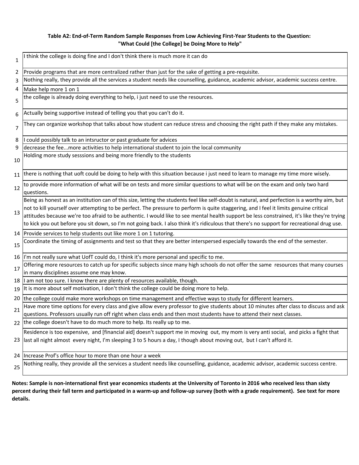# **Table A2: End-of-Term Random Sample Responses from Low Achieving First-Year Students to the Question: "What Could [the College] be Doing More to Help"**

| $\mathbf{1}$ | think the college is doing fine and I don't think there is much more it can do                                                                                                                                                                                                                                                                                                                                                                                                                                                                                                        |
|--------------|---------------------------------------------------------------------------------------------------------------------------------------------------------------------------------------------------------------------------------------------------------------------------------------------------------------------------------------------------------------------------------------------------------------------------------------------------------------------------------------------------------------------------------------------------------------------------------------|
| 2            | Provide programs that are more centralized rather than just for the sake of getting a pre-requisite.                                                                                                                                                                                                                                                                                                                                                                                                                                                                                  |
| 3            | Nothing really, they provide all the services a student needs like counselling, guidance, academic advisor, academic success centre.                                                                                                                                                                                                                                                                                                                                                                                                                                                  |
| 4            | Make help more 1 on 1                                                                                                                                                                                                                                                                                                                                                                                                                                                                                                                                                                 |
| 5            | the college is already doing everything to help, i just need to use the resources.                                                                                                                                                                                                                                                                                                                                                                                                                                                                                                    |
| 6            | Actually being supportive instead of telling you that you can't do it.                                                                                                                                                                                                                                                                                                                                                                                                                                                                                                                |
| 7            | They can organize workshop that talks about how student can reduce stress and choosing the right path if they make any mistakes.                                                                                                                                                                                                                                                                                                                                                                                                                                                      |
| 8            | could possibly talk to an intsructor or past graduate for advices                                                                                                                                                                                                                                                                                                                                                                                                                                                                                                                     |
| 9            | decrease the feemore activities to help international student to join the local community                                                                                                                                                                                                                                                                                                                                                                                                                                                                                             |
| 10           | Holding more study sesssions and being more friendly to the students                                                                                                                                                                                                                                                                                                                                                                                                                                                                                                                  |
| 11           | there is nothing that uoft could be doing to help with this situation because i just need to learn to manage my time more wisely.                                                                                                                                                                                                                                                                                                                                                                                                                                                     |
| 12           | to provide more information of what will be on tests and more similar questions to what will be on the exam and only two hard<br>questions.                                                                                                                                                                                                                                                                                                                                                                                                                                           |
| 13           | Being as honest as an institution can of this size, letting the students feel like self-doubt is natural, and perfection is a worthy aim, but<br>not to kill yourself over attempting to be perfect. The pressure to perform is quite staggering, and I feel it limits genuine critical<br>attitudes because we're too afraid to be authentic. I would like to see mental health support be less constrained, it's like they're trying<br>to kick you out before you sit down, so I'm not going back. I also think it's ridiculous that there's no support for recreational drug use. |
|              | 14 Provide services to help students out like more 1 on 1 tutoring.                                                                                                                                                                                                                                                                                                                                                                                                                                                                                                                   |
| 15           | Coordinate the timing of assignments and test so that they are better interspersed especially towards the end of the semester.                                                                                                                                                                                                                                                                                                                                                                                                                                                        |
| 16           | I'm not really sure what UofT could do, I think it's more personal and specific to me.                                                                                                                                                                                                                                                                                                                                                                                                                                                                                                |
| 17           | Offering more resources to catch up for specific subjects since many high schools do not offer the same resources that many courses<br>in many disciplines assume one may know.                                                                                                                                                                                                                                                                                                                                                                                                       |
| 18           | I am not too sure. I know there are plenty of resources available, though.                                                                                                                                                                                                                                                                                                                                                                                                                                                                                                            |
| 19           | It is more about self motivation, I don't think the college could be doing more to help.                                                                                                                                                                                                                                                                                                                                                                                                                                                                                              |
| 20           | the college could make more workshops on time management and effective ways to study for different learners.                                                                                                                                                                                                                                                                                                                                                                                                                                                                          |
|              | Have more time options for every class and give allow every professor to give students about 10 minutes after class to discuss and ask                                                                                                                                                                                                                                                                                                                                                                                                                                                |
| 21           | questions. Professors usually run off right when class ends and then most students have to attend their next classes.                                                                                                                                                                                                                                                                                                                                                                                                                                                                 |
|              | 22 the college doesn't have to do much more to help. Its really up to me.                                                                                                                                                                                                                                                                                                                                                                                                                                                                                                             |
| 23           | Residence is too expensive, and [financial aid] doesn't support me in moving out, my mom is very anti social, and picks a fight that<br>last all night almost every night, I'm sleeping 3 to 5 hours a day, I though about moving out, but I can't afford it.                                                                                                                                                                                                                                                                                                                         |
| 24           | Increase Prof's office hour to more than one hour a week                                                                                                                                                                                                                                                                                                                                                                                                                                                                                                                              |
| 25           | Nothing really, they provide all the services a student needs like counselling, guidance, academic advisor, academic success centre.                                                                                                                                                                                                                                                                                                                                                                                                                                                  |
|              |                                                                                                                                                                                                                                                                                                                                                                                                                                                                                                                                                                                       |

**Notes: Sample is non-international first year economics students at the University of Toronto in 2016 who received less than sixty percent during their fall term and participated in a warm-up and follow-up survey (both with a grade requirement). See text for more details.**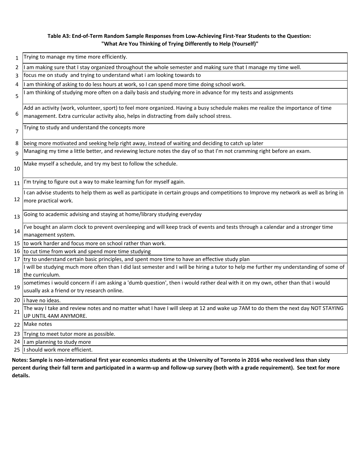# **Table A3: End-of-Term Random Sample Responses from Low-Achieving First-Year Students to the Question: "What Are You Thinking of Trying Differently to Help (Yourself)"**

| 1              | Trying to manage my time more efficiently.                                                                                              |
|----------------|-----------------------------------------------------------------------------------------------------------------------------------------|
| 2              | am making sure that I stay organized throughout the whole semester and making sure that I manage my time well.                          |
| 3              | focus me on study and trying to understand what i am looking towards to                                                                 |
| 4              | am thinking of asking to do less hours at work, so I can spend more time doing school work.                                             |
| 5              | am thinking of studying more often on a daily basis and studying more in advance for my tests and assignments                           |
|                |                                                                                                                                         |
|                | Add an activity (work, volunteer, sport) to feel more organized. Having a busy schedule makes me realize the importance of time         |
| 6              | management. Extra curricular activity also, helps in distracting from daily school stress.                                              |
|                | Trying to study and understand the concepts more                                                                                        |
| $\overline{7}$ |                                                                                                                                         |
| 8              | being more motivated and seeking help right away, instead of waiting and deciding to catch up later                                     |
| $\mathsf{q}$   | Managing my time a little better, and reviewing lecture notes the day of so that I'm not cramming right before an exam.                 |
|                |                                                                                                                                         |
| 10             | Make myself a schedule, and try my best to follow the schedule.                                                                         |
|                |                                                                                                                                         |
| 11             | I'm trying to figure out a way to make learning fun for myself again.                                                                   |
|                | I can advise students to help them as well as participate in certain groups and competitions to Improve my network as well as bring in  |
| 12             | more practical work.                                                                                                                    |
|                |                                                                                                                                         |
| 13             | Going to academic advising and staying at home/library studying everyday                                                                |
|                |                                                                                                                                         |
| 14             | I've bought an alarm clock to prevent oversleeping and will keep track of events and tests through a calendar and a stronger time       |
|                | management system.                                                                                                                      |
| 15             | to work harder and focus more on school rather than work.                                                                               |
| 16             | to cut time from work and spend more time studying                                                                                      |
| 17             | try to understand certain basic principles, and spent more time to have an effective study plan                                         |
| 18             | I will be studying much more often than I did last semester and I will be hiring a tutor to help me further my understanding of some of |
|                | the curriculum.                                                                                                                         |
|                | sometimes i would concern if i am asking a 'dumb question', then i would rather deal with it on my own, other than that i would         |
| 19             | usually ask a friend or try research online.                                                                                            |
|                | 20 li have no ideas.                                                                                                                    |
| 21             | The way I take and review notes and no matter what I have I will sleep at 12 and wake up 7AM to do them the next day NOT STAYING        |
|                | UP UNTIL 4AM ANYMORE.                                                                                                                   |
|                | 22 Make notes                                                                                                                           |
|                | 23 Trying to meet tutor more as possible.                                                                                               |
| 24             | I am planning to study more                                                                                                             |
|                | 25 I should work more efficient.                                                                                                        |
|                |                                                                                                                                         |

**Notes: Sample is non-international first year economics students at the University of Toronto in 2016 who received less than sixty percent during their fall term and participated in a warm-up and follow-up survey (both with a grade requirement). See text for more details.**